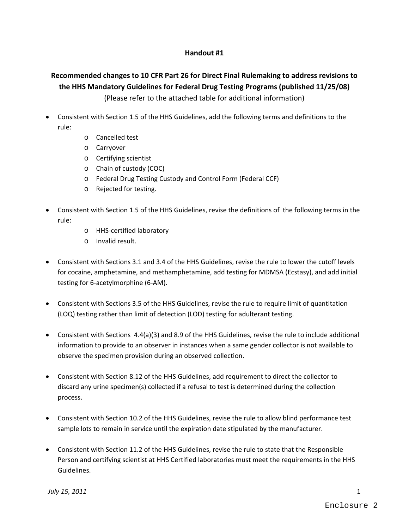#### **Handout #1**

# **Recommended changes to 10 CFR Part 26 for Direct Final Rulemaking to address revisions to the HHS Mandatory Guidelines for Federal Drug Testing Programs (published 11/25/08)**

(Please refer to the attached table for additional information)

- Consistent with Section 1.5 of the HHS Guidelines, add the following terms and definitions to the rule:
	- o Cancelled test
	- o Carryover
	- o Certifying scientist
	- o Chain of custody (COC)
	- o Federal Drug Testing Custody and Control Form (Federal CCF)
	- o Rejected for testing.
- Consistent with Section 1.5 of the HHS Guidelines, revise the definitions of the following terms in the rule:
	- o HHS‐certified laboratory
	- o Invalid result.
- Consistent with Sections 3.1 and 3.4 of the HHS Guidelines, revise the rule to lower the cutoff levels for cocaine, amphetamine, and methamphetamine, add testing for MDMSA (Ecstasy), and add initial testing for 6‐acetylmorphine (6‐AM).
- Consistent with Sections 3.5 of the HHS Guidelines, revise the rule to require limit of quantitation (LOQ) testing rather than limit of detection (LOD) testing for adulterant testing.
- Consistent with Sections 4.4(a)(3) and 8.9 of the HHS Guidelines, revise the rule to include additional information to provide to an observer in instances when a same gender collector is not available to observe the specimen provision during an observed collection.
- Consistent with Section 8.12 of the HHS Guidelines, add requirement to direct the collector to discard any urine specimen(s) collected if a refusal to test is determined during the collection process.
- Consistent with Section 10.2 of the HHS Guidelines, revise the rule to allow blind performance test sample lots to remain in service until the expiration date stipulated by the manufacturer.
- Consistent with Section 11.2 of the HHS Guidelines, revise the rule to state that the Responsible Person and certifying scientist at HHS Certified laboratories must meet the requirements in the HHS Guidelines.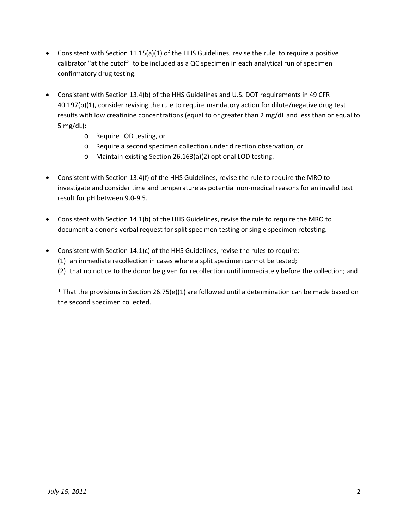- Consistent with Section 11.15(a)(1) of the HHS Guidelines, revise the rule to require a positive calibrator "at the cutoff" to be included as a QC specimen in each analytical run of specimen confirmatory drug testing.
- Consistent with Section 13.4(b) of the HHS Guidelines and U.S. DOT requirements in 49 CFR 40.197(b)(1), consider revising the rule to require mandatory action for dilute/negative drug test results with low creatinine concentrations (equal to or greater than 2 mg/dL and less than or equal to 5 mg/dL):
	- o Require LOD testing, or
	- o Require a second specimen collection under direction observation, or
	- o Maintain existing Section 26.163(a)(2) optional LOD testing.
- Consistent with Section 13.4(f) of the HHS Guidelines, revise the rule to require the MRO to investigate and consider time and temperature as potential non‐medical reasons for an invalid test result for pH between 9.0‐9.5.
- Consistent with Section 14.1(b) of the HHS Guidelines, revise the rule to require the MRO to document a donor's verbal request for split specimen testing or single specimen retesting.
- Consistent with Section 14.1(c) of the HHS Guidelines, revise the rules to require:
	- (1) an immediate recollection in cases where a split specimen cannot be tested;
	- (2) that no notice to the donor be given for recollection until immediately before the collection; and

\* That the provisions in Section 26.75(e)(1) are followed until a determination can be made based on the second specimen collected.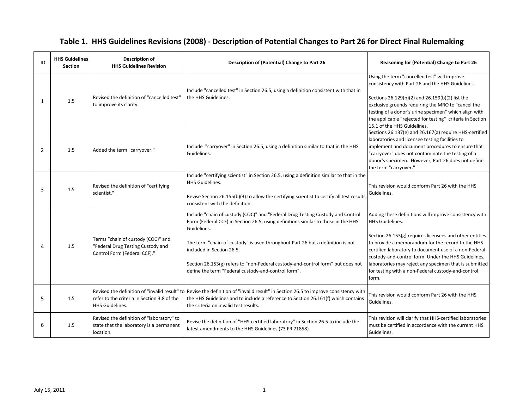| ID             | <b>HHS Guidelines</b><br><b>Section</b> | <b>Description of</b><br><b>HHS Guidelines Revision</b>                                                 | Description of (Potential) Change to Part 26                                                                                                                                                                                                                                                                                                                                                                                                | Reasoning for (Potential) Change to Part 26                                                                                                                                                                                                                                                                                                                                                                                         |
|----------------|-----------------------------------------|---------------------------------------------------------------------------------------------------------|---------------------------------------------------------------------------------------------------------------------------------------------------------------------------------------------------------------------------------------------------------------------------------------------------------------------------------------------------------------------------------------------------------------------------------------------|-------------------------------------------------------------------------------------------------------------------------------------------------------------------------------------------------------------------------------------------------------------------------------------------------------------------------------------------------------------------------------------------------------------------------------------|
| 1              | 1.5                                     | Revised the definition of "cancelled test"<br>to improve its clarity.                                   | Include "cancelled test" in Section 26.5, using a definition consistent with that in<br>the HHS Guidelines.                                                                                                                                                                                                                                                                                                                                 | Using the term "cancelled test" will improve<br>consistency with Part 26 and the HHS Guidelines.<br>Sections 26.129(b)(2) and 26.159(b)(2) list the<br>exclusive grounds requiring the MRO to "cancel the<br>testing of a donor's urine specimen" which align with<br>the applicable "rejected for testing" criteria in Section<br>15.1 of the HHS Guidelines.                                                                      |
| $\overline{2}$ | 1.5                                     | Added the term "carryover."                                                                             | Include "carryover" in Section 26.5, using a definition similar to that in the HHS<br>Guidelines.                                                                                                                                                                                                                                                                                                                                           | Sections 26.137(e) and 26.167(a) require HHS-certified<br>laboratories and licensee testing facilities to<br>implement and document procedures to ensure that<br>"carryover" does not contaminate the testing of a<br>donor's specimen. However, Part 26 does not define<br>the term "carryover."                                                                                                                                   |
| 3              | 1.5                                     | Revised the definition of "certifying<br>scientist."                                                    | Include "certifying scientist" in Section 26.5, using a definition similar to that in the<br>HHS Guidelines.<br>Revise Section 26.155(b)(3) to allow the certifying scientist to certify all test results,<br>consistent with the definition.                                                                                                                                                                                               | This revision would conform Part 26 with the HHS<br>Guidelines.                                                                                                                                                                                                                                                                                                                                                                     |
| 4              | 1.5                                     | Terms "chain of custody (COC)" and<br>"Federal Drug Testing Custody and<br>Control Form (Federal CCF)." | Include "chain of custody (COC)" and "Federal Drug Testing Custody and Control<br>Form (Federal CCF) in Section 26.5, using definitions similar to those in the HHS<br>Guidelines.<br>The term "chain-of-custody" is used throughout Part 26 but a definition is not<br>included in Section 26.5.<br>Section 26.153(g) refers to "non-Federal custody-and-control form" but does not<br>define the term "Federal custody-and-control form". | Adding these definitions will improve consistency with<br>HHS Guidelines.<br>Section 26.153(g) requires licensees and other entities<br>to provide a memorandum for the record to the HHS-<br>certified laboratory to document use of a non-Federal<br>custody-and-control form. Under the HHS Guidelines,<br>laboratories may reject any specimen that is submitted<br>for testing with a non-Federal custody-and-control<br>form. |
| 5              | 1.5                                     | refer to the criteria in Section 3.8 of the<br><b>HHS Guidelines.</b>                                   | Revised the definition of "invalid result" to Revise the definition of "invalid result" in Section 26.5 to improve consistency with<br>the HHS Guidelines and to include a reference to Section 26.161(f) which contains<br>the criteria on invalid test results.                                                                                                                                                                           | This revision would conform Part 26 with the HHS<br>Guidelines.                                                                                                                                                                                                                                                                                                                                                                     |
| 6              | 1.5                                     | Revised the definition of "laboratory" to<br>state that the laboratory is a permanent<br>location.      | Revise the definition of "HHS-certified laboratory" in Section 26.5 to include the<br>latest amendments to the HHS Guidelines (73 FR 71858).                                                                                                                                                                                                                                                                                                | This revision will clarify that HHS-certified laboratories<br>must be certified in accordance with the current HHS<br>Guidelines.                                                                                                                                                                                                                                                                                                   |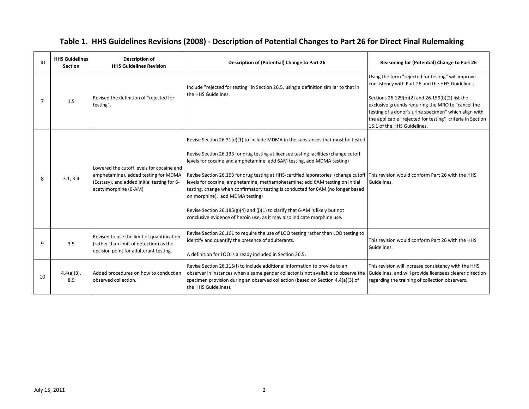| ID | <b>HHS Guidelines</b><br><b>Section</b> | Description of<br><b>HHS Guidelines Revision</b>                                                                                                          | Description of (Potential) Change to Part 26                                                                                                                                                                                                                                                                                                                                                                                                                                                                                                                                                                                                                                                                                                                     | Reasoning for (Potential) Change to Part 26                                                                                                                                                                                                                                                                                                                          |
|----|-----------------------------------------|-----------------------------------------------------------------------------------------------------------------------------------------------------------|------------------------------------------------------------------------------------------------------------------------------------------------------------------------------------------------------------------------------------------------------------------------------------------------------------------------------------------------------------------------------------------------------------------------------------------------------------------------------------------------------------------------------------------------------------------------------------------------------------------------------------------------------------------------------------------------------------------------------------------------------------------|----------------------------------------------------------------------------------------------------------------------------------------------------------------------------------------------------------------------------------------------------------------------------------------------------------------------------------------------------------------------|
|    | 1.5                                     | Revised the definition of "rejected for<br>testing".                                                                                                      | Include "rejected for testing" in Section 26.5, using a definition similar to that in<br>the HHS Guidelines.                                                                                                                                                                                                                                                                                                                                                                                                                                                                                                                                                                                                                                                     | Using the term "rejected for testing" will improve<br>consistency with Part 26 and the HHS Guidelines.<br>Sections 26.129(b)(2) and 26.159(b)(2) list the<br>exclusive grounds requiring the MRO to "cancel the<br>testing of a donor's urine specimen" which align with<br>the applicable "rejected for testing" criteria in Section<br>15.1 of the HHS Guidelines. |
| 8  | 3.1, 3.4                                | Lowered the cutoff levels for cocaine and<br>amphetamine), added testing for MDMA<br>(Ecstasy), and added initial testing for 6-<br>acetylmorphine (6-AM) | Revise Section $26.31(d)(1)$ to include MDMA in the substances that must be tested.<br>Revise Section 26.133 for drug testing at licensee testing facilities (change cutoff<br>levels for cocaine and amphetamine; add 6AM testing, add MDMA testing)<br>Revise Section 26.163 for drug testing at HHS-certified laboratories (change cutoff This revision would conform Part 26 with the HHS<br>levels for cocaine, amphetamine, methamphetamine; add 6AM testing on initial<br>testing, change when confirmatory testing is conducted for 6AM (no longer based<br>on morphine), add MDMA testing)<br>Revise Section 26.185(g)(4) and (j)(1) to clarify that 6-AM is likely but not<br>conclusive evidence of heroin use, as it may also indicate morphine use. | Guidelines.                                                                                                                                                                                                                                                                                                                                                          |
| 9  | 3.5                                     | Revised to use the limit of quantification<br>(rather than limit of detection) as the<br>decision point for adulterant testing.                           | Revise Section 26.161 to require the use of LOQ testing rather than LOD testing to<br>identify and quantify the presence of adulterants.<br>A definition for LOQ is already included in Section 26.5.                                                                                                                                                                                                                                                                                                                                                                                                                                                                                                                                                            | This revision would conform Part 26 with the HHS<br>Guidelines.                                                                                                                                                                                                                                                                                                      |
| 10 | $4.4(a)(3)$ ,<br>8.9                    | Added procedures on how to conduct an<br>observed collection.                                                                                             | Revise Section 26.115(f) to include additional information to provide to an<br>observer in instances when a same gender collector is not available to observe the<br>specimen provision during an observed collection (based on Section 4.4(a)(3) of<br>the HHS Guidelines).                                                                                                                                                                                                                                                                                                                                                                                                                                                                                     | This revision will increase consistency with the HHS<br>Guidelines, and will provide licensees clearer direction<br>regarding the training of collection observers.                                                                                                                                                                                                  |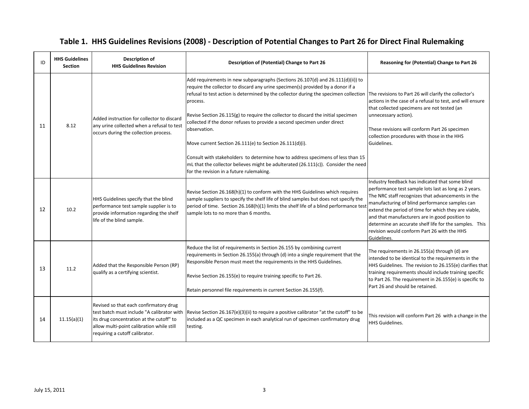| ID | <b>HHS Guidelines</b><br><b>Section</b> | Description of<br><b>HHS Guidelines Revision</b>                                                                                                                                                                | Description of (Potential) Change to Part 26                                                                                                                                                                                                                                                                                                                                                                                                                                                                                                                                                                                                                | Reasoning for (Potential) Change to Part 26                                                                                                                                                                                                                                                                                                                                                                                                       |
|----|-----------------------------------------|-----------------------------------------------------------------------------------------------------------------------------------------------------------------------------------------------------------------|-------------------------------------------------------------------------------------------------------------------------------------------------------------------------------------------------------------------------------------------------------------------------------------------------------------------------------------------------------------------------------------------------------------------------------------------------------------------------------------------------------------------------------------------------------------------------------------------------------------------------------------------------------------|---------------------------------------------------------------------------------------------------------------------------------------------------------------------------------------------------------------------------------------------------------------------------------------------------------------------------------------------------------------------------------------------------------------------------------------------------|
| 11 | 8.12                                    | Added instruction for collector to discard<br>any urine collected when a refusal to test<br>occurs during the collection process.                                                                               | Add requirements in new subparagraphs (Sections 26.107(d) and 26.111(d)(ii)) to<br>require the collector to discard any urine specimen(s) provided by a donor if a<br>refusal to test action is determined by the collector during the specimen collection The revisions to Part 26 will clarify the collector's<br>process.<br>Revise Section 26.115(g) to require the collector to discard the initial specimen<br>collected if the donor refuses to provide a second specimen under direct<br>observation.<br>Move current Section 26.111(e) to Section 26.111(d)(i).<br>Consult with stakeholders to determine how to address specimens of less than 15 | actions in the case of a refusal to test, and will ensure<br>that collected specimens are not tested (an<br>unnecessary action).<br>These revisions will conform Part 26 specimen<br>collection procedures with those in the HHS<br>Guidelines.                                                                                                                                                                                                   |
|    |                                         |                                                                                                                                                                                                                 | mL that the collector believes might be adulterated $(26.111(c))$ . Consider the need<br>for the revision in a future rulemaking.                                                                                                                                                                                                                                                                                                                                                                                                                                                                                                                           |                                                                                                                                                                                                                                                                                                                                                                                                                                                   |
| 12 | 10.2                                    | HHS Guidelines specify that the blind<br>performance test sample supplier is to<br>provide information regarding the shelf<br>life of the blind sample.                                                         | Revise Section 26.168(h)(1) to conform with the HHS Guidelines which requires<br>sample suppliers to specify the shelf life of blind samples but does not specify the<br>period of time. Section 26.168(h)(1) limits the shelf life of a blind performance tes<br>sample lots to no more than 6 months.                                                                                                                                                                                                                                                                                                                                                     | Industry feedback has indicated that some blind<br>performance test sample lots last as long as 2 years.<br>The NRC staff recognizes that advancements in the<br>manufacturing of blind performance samples can<br>extend the period of time for which they are viable,<br>and that manufacturers are in good position to<br>determine an accurate shelf life for the samples. This<br>revision would conform Part 26 with the HHS<br>Guidelines. |
| 13 | 11.2                                    | Added that the Responsible Person (RP)<br>qualify as a certifying scientist.                                                                                                                                    | Reduce the list of requirements in Section 26.155 by combining current<br>requirements in Section 26.155(a) through (d) into a single requirement that the<br>Responsible Person must meet the requirements in the HHS Guidelines.<br>Revise Section 26.155(e) to require training specific to Part 26.<br>Retain personnel file requirements in current Section 26.155(f).                                                                                                                                                                                                                                                                                 | The requirements in 26.155(a) through (d) are<br>intended to be identical to the requirements in the<br>HHS Guidelines. The revision to 26.155(e) clarifies that<br>training requirements should include training specific<br>to Part 26. The requirement in 26.155(e) is specific to<br>Part 26 and should be retained.                                                                                                                          |
| 14 | 11.15(a)(1)                             | Revised so that each confirmatory drug<br>test batch must include "A calibrator with<br>its drug concentration at the cutoff" to<br>allow multi-point calibration while still<br>requiring a cutoff calibrator. | Revise Section 26.167(e)(3)(ii) to require a positive calibrator "at the cutoff" to be<br>included as a QC specimen in each analytical run of specimen confirmatory drug<br>testing.                                                                                                                                                                                                                                                                                                                                                                                                                                                                        | This revision will conform Part 26 with a change in the<br>HHS Guidelines.                                                                                                                                                                                                                                                                                                                                                                        |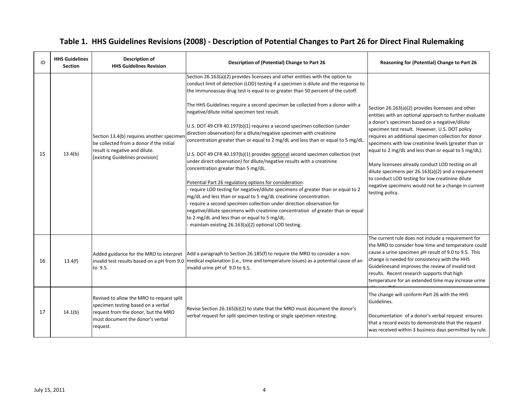| ID | <b>HHS Guidelines</b><br><b>Section</b> | <b>Description of</b><br><b>HHS Guidelines Revision</b>                                                                                                                | Description of (Potential) Change to Part 26                                                                                                                                                                                                                                                                                                                                                                                                                                                                                                                                                                                                                                                                                                                                                                                                                                                                                                                                                                                                                                                                                                                                                                                                                                                                                      | Reasoning for (Potential) Change to Part 26                                                                                                                                                                                                                                                                                                                                                                                                                                                                                                                                                                                         |
|----|-----------------------------------------|------------------------------------------------------------------------------------------------------------------------------------------------------------------------|-----------------------------------------------------------------------------------------------------------------------------------------------------------------------------------------------------------------------------------------------------------------------------------------------------------------------------------------------------------------------------------------------------------------------------------------------------------------------------------------------------------------------------------------------------------------------------------------------------------------------------------------------------------------------------------------------------------------------------------------------------------------------------------------------------------------------------------------------------------------------------------------------------------------------------------------------------------------------------------------------------------------------------------------------------------------------------------------------------------------------------------------------------------------------------------------------------------------------------------------------------------------------------------------------------------------------------------|-------------------------------------------------------------------------------------------------------------------------------------------------------------------------------------------------------------------------------------------------------------------------------------------------------------------------------------------------------------------------------------------------------------------------------------------------------------------------------------------------------------------------------------------------------------------------------------------------------------------------------------|
| 15 | 13.4(b)                                 | Section 13.4(b) requires another specimen<br>be collected from a donor if the initial<br>result is negative and dilute.<br>[existing Guidelines provision]             | Section 26.163(a)(2) provides licensees and other entities with the option to<br>conduct limit of detection (LOD) testing if a specimen is dilute and the response to<br>the immunoassay drug test is equal to or greater than 50 percent of the cutoff.<br>The HHS Guidelines require a second specimen be collected from a donor with a<br>negative/dilute initial specimen test result.<br>U.S. DOT 49 CFR 40.197(b)(1) requires a second specimen collection (under<br>direction observation) for a dilute/negative specimen with creatinine<br>concentration greater than or equal to 2 mg/dL and less than or equal to 5 mg/dL.<br>U.S. DOT 49 CFR 40.197(b)(1) provides optional second specimen collection (not<br>under direct observation) for dilute/negative results with a creatinine<br>concentration greater than 5 mg/dL.<br>Potential Part 26 regulatory options for consideration:<br>require LOD testing for negative/dilute specimens of greater than or equal to 2<br>mg/dL and less than or equal to 5 mg/dL creatinine concentration.<br>require a second specimen collection under direction observation for<br>negative/dilute specimens with creatinine concentration of greater than or equal<br>to 2 mg/dL and less than or equal to 5 mg/dL.<br>maintain existing 26.163(a)(2) optional LOD testing. | Section 26.163(a)(2) provides licensees and other<br>entities with an optional approach to further evaluate<br>a donor's specimen based on a negative/dilute<br>specimen test result. However, U.S. DOT policy<br>requires an additional specimen collection for donor<br>specimens with low creatinine levels (greater than or<br>equal to 2 mg/dL and less than or equal to 5 mg/dL).<br>Many licensees already conduct LOD testing on all<br>dilute specimens per $26.163(a)(2)$ and a requirement<br>to conduct LOD testing for low creatinine dilute<br>negative specimens would not be a change in current<br>testing policy. |
| 16 | 13.4(f)                                 | to 9.5.                                                                                                                                                                | Added guidance for the MRO to interpret   Add a paragraph to Section 26.185(f) to require the MRO to consider a non-<br>invalid test results based on a pH from 9.0   medical explanation (i.e., time and temperature issues) as a potential cause of an<br>invalid urine pH of 9.0 to 9.5.                                                                                                                                                                                                                                                                                                                                                                                                                                                                                                                                                                                                                                                                                                                                                                                                                                                                                                                                                                                                                                       | The current rule does not include a requirement for<br>the MRO to consider how time and temperature could<br>cause a urine specimen pH result of 9.0 to 9.5. This<br>change is needed for consistency with the HHS<br>Guidelinesand improves the review of invalid test<br>results. Recent research supports that high<br>temperature for an extended time may increase urine                                                                                                                                                                                                                                                       |
| 17 | 14.1(b)                                 | Revised to allow the MRO to request split<br>specimen testing based on a verbal<br>request from the donor, but the MRO<br>must document the donor's verbal<br>request. | Revise Section 26.165(b)(2) to state that the MRO must document the donor's<br>verbal request for split specimen testing or single specimen retesting.                                                                                                                                                                                                                                                                                                                                                                                                                                                                                                                                                                                                                                                                                                                                                                                                                                                                                                                                                                                                                                                                                                                                                                            | The change will conform Part 26 with the HHS<br>Guidelines.<br>Documentation of a donor's verbal request ensures<br>that a record exists to demonstrate that the request<br>was received within 3 business days permitted by rule.                                                                                                                                                                                                                                                                                                                                                                                                  |